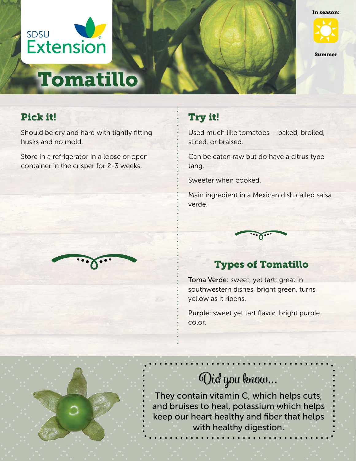



Summer

# Pick it!

Should be dry and hard with tightly fitting husks and no mold.

Tomatillo

Store in a refrigerator in a loose or open container in the crisper for 2-3 weeks.



## Try it!

Used much like tomatoes – baked, broiled, sliced, or braised.

Can be eaten raw but do have a citrus type tang.

Sweeter when cooked.

Main ingredient in a Mexican dish called salsa verde.



## Types of Tomatillo

Toma Verde: sweet, yet tart; great in southwestern dishes, bright green, turns yellow as it ripens.

Purple: sweet yet tart flavor, bright purple color.



# Did you know...

They contain vitamin C, which helps cuts, and bruises to heal, potassium which helps keep our heart healthy and fiber that helps with healthy digestion.